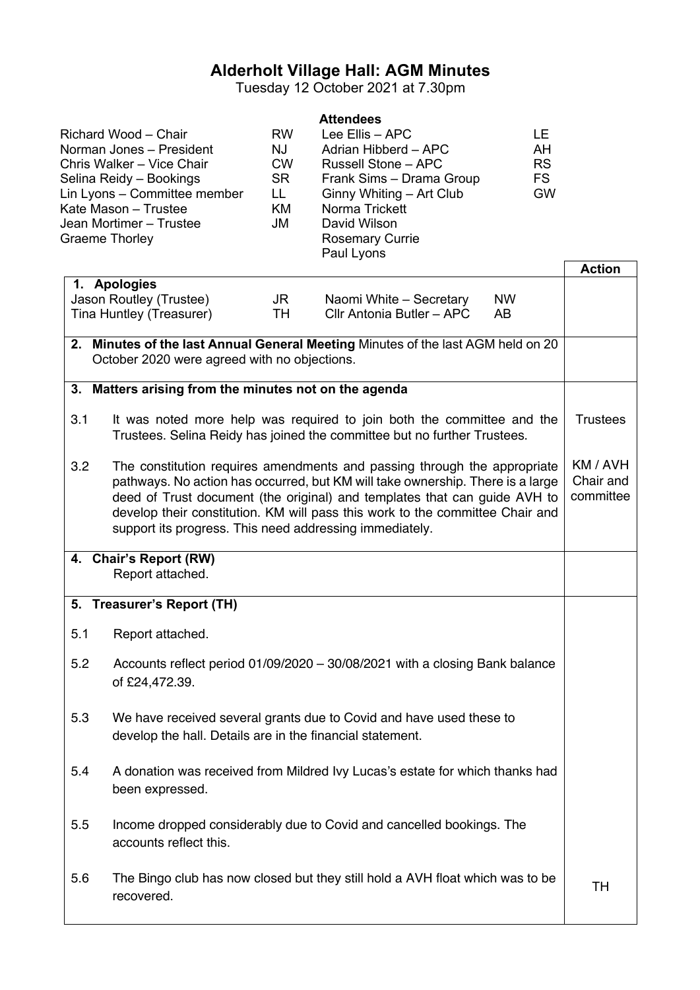# **Alderholt Village Hall: AGM Minutes**

Tuesday 12 October 2021 at 7.30pm

|     | Richard Wood - Chair<br>Norman Jones - President<br>Chris Walker - Vice Chair<br>Selina Reidy - Bookings<br>Lin Lyons - Committee member<br>Kate Mason - Trustee<br>Jean Mortimer - Trustee<br><b>Graeme Thorley</b> | <b>RW</b><br>NJ<br><b>CW</b><br><b>SR</b><br>LL.<br>KM<br>JM | <b>Attendees</b><br>Lee Ellis - APC<br>Adrian Hibberd - APC<br><b>Russell Stone - APC</b><br>Frank Sims - Drama Group<br>Ginny Whiting - Art Club<br>Norma Trickett<br>David Wilson<br><b>Rosemary Currie</b><br>Paul Lyons                                                                                              | LE<br>AH<br><b>RS</b><br><b>FS</b><br><b>GW</b> |                                    |
|-----|----------------------------------------------------------------------------------------------------------------------------------------------------------------------------------------------------------------------|--------------------------------------------------------------|--------------------------------------------------------------------------------------------------------------------------------------------------------------------------------------------------------------------------------------------------------------------------------------------------------------------------|-------------------------------------------------|------------------------------------|
|     | 1. Apologies                                                                                                                                                                                                         |                                                              |                                                                                                                                                                                                                                                                                                                          |                                                 | <b>Action</b>                      |
|     | Jason Routley (Trustee)<br>Tina Huntley (Treasurer)                                                                                                                                                                  | JR<br>TH                                                     | Naomi White - Secretary<br>Cllr Antonia Butler - APC                                                                                                                                                                                                                                                                     | <b>NW</b><br>AB                                 |                                    |
|     | October 2020 were agreed with no objections.                                                                                                                                                                         |                                                              | 2. Minutes of the last Annual General Meeting Minutes of the last AGM held on 20                                                                                                                                                                                                                                         |                                                 |                                    |
|     | 3. Matters arising from the minutes not on the agenda                                                                                                                                                                |                                                              |                                                                                                                                                                                                                                                                                                                          |                                                 |                                    |
| 3.1 |                                                                                                                                                                                                                      |                                                              | It was noted more help was required to join both the committee and the<br>Trustees. Selina Reidy has joined the committee but no further Trustees.                                                                                                                                                                       |                                                 | <b>Trustees</b>                    |
| 3.2 | support its progress. This need addressing immediately.                                                                                                                                                              |                                                              | The constitution requires amendments and passing through the appropriate<br>pathways. No action has occurred, but KM will take ownership. There is a large<br>deed of Trust document (the original) and templates that can guide AVH to<br>develop their constitution. KM will pass this work to the committee Chair and |                                                 | KM / AVH<br>Chair and<br>committee |
|     | 4. Chair's Report (RW)<br>Report attached.                                                                                                                                                                           |                                                              |                                                                                                                                                                                                                                                                                                                          |                                                 |                                    |
|     | 5. Treasurer's Report (TH)                                                                                                                                                                                           |                                                              |                                                                                                                                                                                                                                                                                                                          |                                                 |                                    |
| 5.1 | Report attached.                                                                                                                                                                                                     |                                                              |                                                                                                                                                                                                                                                                                                                          |                                                 |                                    |
| 5.2 | of £24,472.39.                                                                                                                                                                                                       |                                                              | Accounts reflect period 01/09/2020 - 30/08/2021 with a closing Bank balance                                                                                                                                                                                                                                              |                                                 |                                    |
| 5.3 | develop the hall. Details are in the financial statement.                                                                                                                                                            |                                                              | We have received several grants due to Covid and have used these to                                                                                                                                                                                                                                                      |                                                 |                                    |
| 5.4 | been expressed.                                                                                                                                                                                                      |                                                              | A donation was received from Mildred Ivy Lucas's estate for which thanks had                                                                                                                                                                                                                                             |                                                 |                                    |
| 5.5 | accounts reflect this.                                                                                                                                                                                               |                                                              | Income dropped considerably due to Covid and cancelled bookings. The                                                                                                                                                                                                                                                     |                                                 |                                    |
| 5.6 | recovered.                                                                                                                                                                                                           |                                                              | The Bingo club has now closed but they still hold a AVH float which was to be                                                                                                                                                                                                                                            |                                                 | TН                                 |
|     |                                                                                                                                                                                                                      |                                                              |                                                                                                                                                                                                                                                                                                                          |                                                 |                                    |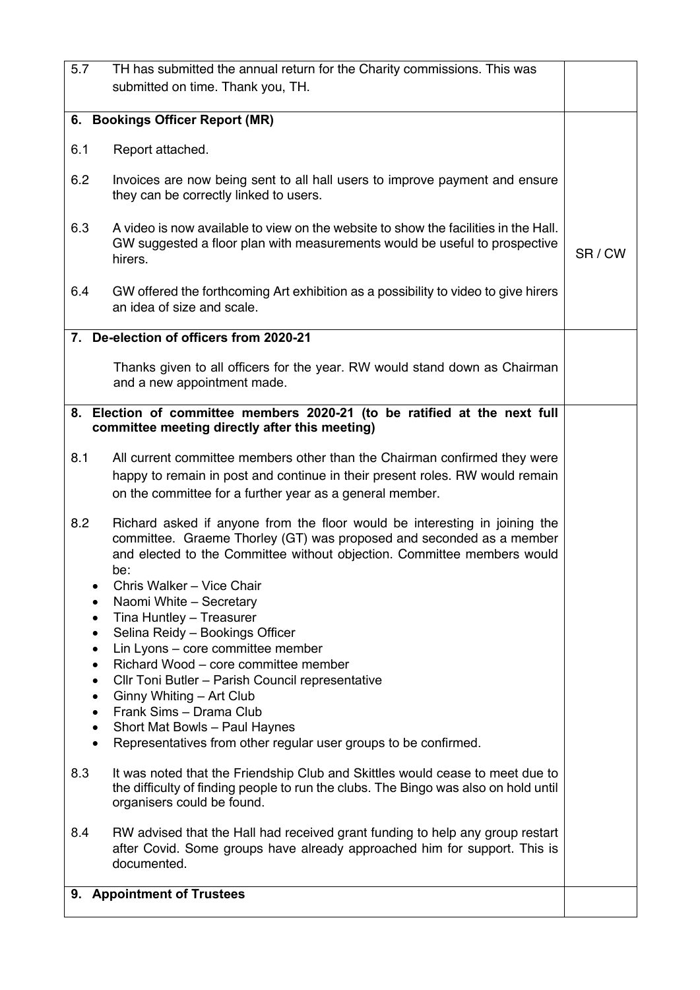| 5.7                                                                                             | TH has submitted the annual return for the Charity commissions. This was                                                                                                                                                                                                                                                                                                                                                                                                                                                                                                                                                                                                                                                                                                                                                                                                                                                                       |       |
|-------------------------------------------------------------------------------------------------|------------------------------------------------------------------------------------------------------------------------------------------------------------------------------------------------------------------------------------------------------------------------------------------------------------------------------------------------------------------------------------------------------------------------------------------------------------------------------------------------------------------------------------------------------------------------------------------------------------------------------------------------------------------------------------------------------------------------------------------------------------------------------------------------------------------------------------------------------------------------------------------------------------------------------------------------|-------|
|                                                                                                 | submitted on time. Thank you, TH.                                                                                                                                                                                                                                                                                                                                                                                                                                                                                                                                                                                                                                                                                                                                                                                                                                                                                                              |       |
|                                                                                                 | 6. Bookings Officer Report (MR)                                                                                                                                                                                                                                                                                                                                                                                                                                                                                                                                                                                                                                                                                                                                                                                                                                                                                                                |       |
| 6.1                                                                                             | Report attached.                                                                                                                                                                                                                                                                                                                                                                                                                                                                                                                                                                                                                                                                                                                                                                                                                                                                                                                               |       |
|                                                                                                 |                                                                                                                                                                                                                                                                                                                                                                                                                                                                                                                                                                                                                                                                                                                                                                                                                                                                                                                                                |       |
| 6.2                                                                                             | Invoices are now being sent to all hall users to improve payment and ensure<br>they can be correctly linked to users.                                                                                                                                                                                                                                                                                                                                                                                                                                                                                                                                                                                                                                                                                                                                                                                                                          |       |
| 6.3                                                                                             | A video is now available to view on the website to show the facilities in the Hall.<br>GW suggested a floor plan with measurements would be useful to prospective<br>hirers.                                                                                                                                                                                                                                                                                                                                                                                                                                                                                                                                                                                                                                                                                                                                                                   | SR/CW |
| 6.4                                                                                             | GW offered the forthcoming Art exhibition as a possibility to video to give hirers<br>an idea of size and scale.                                                                                                                                                                                                                                                                                                                                                                                                                                                                                                                                                                                                                                                                                                                                                                                                                               |       |
|                                                                                                 | 7. De-election of officers from 2020-21                                                                                                                                                                                                                                                                                                                                                                                                                                                                                                                                                                                                                                                                                                                                                                                                                                                                                                        |       |
|                                                                                                 | Thanks given to all officers for the year. RW would stand down as Chairman<br>and a new appointment made.                                                                                                                                                                                                                                                                                                                                                                                                                                                                                                                                                                                                                                                                                                                                                                                                                                      |       |
|                                                                                                 | 8. Election of committee members 2020-21 (to be ratified at the next full                                                                                                                                                                                                                                                                                                                                                                                                                                                                                                                                                                                                                                                                                                                                                                                                                                                                      |       |
|                                                                                                 | committee meeting directly after this meeting)                                                                                                                                                                                                                                                                                                                                                                                                                                                                                                                                                                                                                                                                                                                                                                                                                                                                                                 |       |
| 8.1                                                                                             | All current committee members other than the Chairman confirmed they were<br>happy to remain in post and continue in their present roles. RW would remain<br>on the committee for a further year as a general member.                                                                                                                                                                                                                                                                                                                                                                                                                                                                                                                                                                                                                                                                                                                          |       |
| 8.2<br>$\bullet$<br>$\bullet$<br>$\bullet$<br>$\bullet$<br>$\bullet$<br>$\bullet$<br>8.3<br>8.4 | Richard asked if anyone from the floor would be interesting in joining the<br>committee. Graeme Thorley (GT) was proposed and seconded as a member<br>and elected to the Committee without objection. Committee members would<br>be:<br>Chris Walker - Vice Chair<br>Naomi White - Secretary<br>Tina Huntley - Treasurer<br>Selina Reidy - Bookings Officer<br>Lin Lyons - core committee member<br>Richard Wood - core committee member<br>Cllr Toni Butler - Parish Council representative<br>Ginny Whiting - Art Club<br>Frank Sims - Drama Club<br>Short Mat Bowls - Paul Haynes<br>Representatives from other regular user groups to be confirmed.<br>It was noted that the Friendship Club and Skittles would cease to meet due to<br>the difficulty of finding people to run the clubs. The Bingo was also on hold until<br>organisers could be found.<br>RW advised that the Hall had received grant funding to help any group restart |       |
|                                                                                                 | after Covid. Some groups have already approached him for support. This is<br>documented.                                                                                                                                                                                                                                                                                                                                                                                                                                                                                                                                                                                                                                                                                                                                                                                                                                                       |       |
|                                                                                                 | 9. Appointment of Trustees                                                                                                                                                                                                                                                                                                                                                                                                                                                                                                                                                                                                                                                                                                                                                                                                                                                                                                                     |       |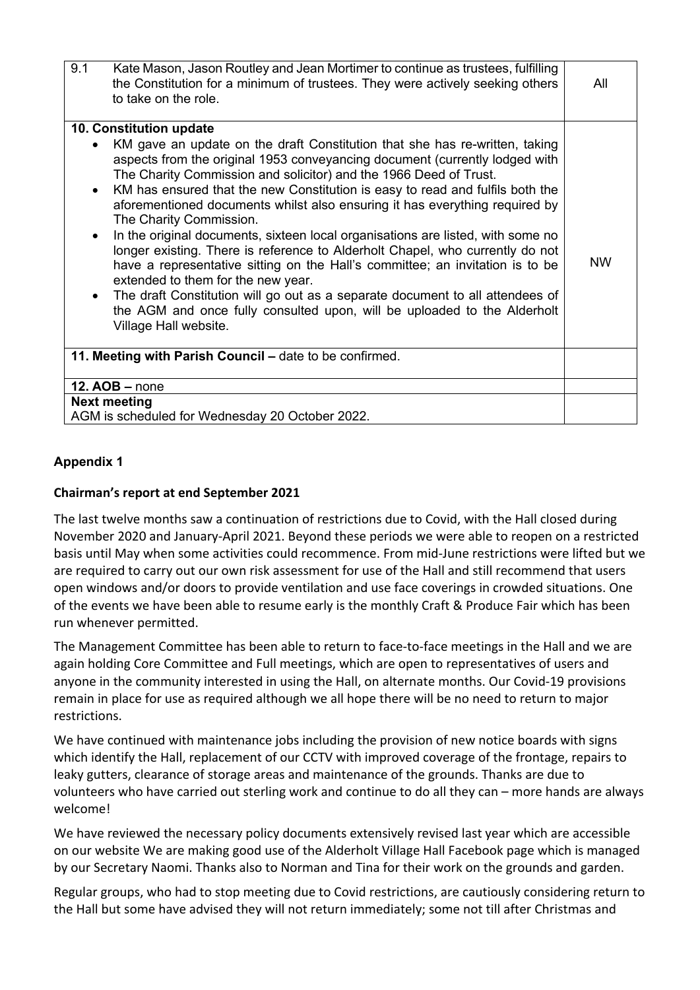| 9.1                                              | Kate Mason, Jason Routley and Jean Mortimer to continue as trustees, fulfilling<br>the Constitution for a minimum of trustees. They were actively seeking others<br>to take on the role.                                                                                                                                                                                                                                                                                                                                                                                                                                                                                                                                                                                                                                                                                                                    | All       |
|--------------------------------------------------|-------------------------------------------------------------------------------------------------------------------------------------------------------------------------------------------------------------------------------------------------------------------------------------------------------------------------------------------------------------------------------------------------------------------------------------------------------------------------------------------------------------------------------------------------------------------------------------------------------------------------------------------------------------------------------------------------------------------------------------------------------------------------------------------------------------------------------------------------------------------------------------------------------------|-----------|
|                                                  | 10. Constitution update                                                                                                                                                                                                                                                                                                                                                                                                                                                                                                                                                                                                                                                                                                                                                                                                                                                                                     |           |
| $\bullet$<br>$\bullet$<br>$\bullet$<br>$\bullet$ | KM gave an update on the draft Constitution that she has re-written, taking<br>aspects from the original 1953 conveyancing document (currently lodged with<br>The Charity Commission and solicitor) and the 1966 Deed of Trust.<br>KM has ensured that the new Constitution is easy to read and fulfils both the<br>aforementioned documents whilst also ensuring it has everything required by<br>The Charity Commission.<br>In the original documents, sixteen local organisations are listed, with some no<br>longer existing. There is reference to Alderholt Chapel, who currently do not<br>have a representative sitting on the Hall's committee; an invitation is to be<br>extended to them for the new year.<br>The draft Constitution will go out as a separate document to all attendees of<br>the AGM and once fully consulted upon, will be uploaded to the Alderholt<br>Village Hall website. | <b>NW</b> |
|                                                  | 11. Meeting with Parish Council – date to be confirmed.                                                                                                                                                                                                                                                                                                                                                                                                                                                                                                                                                                                                                                                                                                                                                                                                                                                     |           |
|                                                  | $12. AOB - none$                                                                                                                                                                                                                                                                                                                                                                                                                                                                                                                                                                                                                                                                                                                                                                                                                                                                                            |           |
|                                                  | <b>Next meeting</b>                                                                                                                                                                                                                                                                                                                                                                                                                                                                                                                                                                                                                                                                                                                                                                                                                                                                                         |           |
|                                                  | AGM is scheduled for Wednesday 20 October 2022.                                                                                                                                                                                                                                                                                                                                                                                                                                                                                                                                                                                                                                                                                                                                                                                                                                                             |           |

# **Appendix 1**

### **Chairman's report at end September 2021**

The last twelve months saw a continuation of restrictions due to Covid, with the Hall closed during November 2020 and January-April 2021. Beyond these periods we were able to reopen on a restricted basis until May when some activities could recommence. From mid-June restrictions were lifted but we are required to carry out our own risk assessment for use of the Hall and still recommend that users open windows and/or doors to provide ventilation and use face coverings in crowded situations. One of the events we have been able to resume early is the monthly Craft & Produce Fair which has been run whenever permitted.

The Management Committee has been able to return to face-to-face meetings in the Hall and we are again holding Core Committee and Full meetings, which are open to representatives of users and anyone in the community interested in using the Hall, on alternate months. Our Covid-19 provisions remain in place for use as required although we all hope there will be no need to return to major restrictions.

We have continued with maintenance jobs including the provision of new notice boards with signs which identify the Hall, replacement of our CCTV with improved coverage of the frontage, repairs to leaky gutters, clearance of storage areas and maintenance of the grounds. Thanks are due to volunteers who have carried out sterling work and continue to do all they can – more hands are always welcome!

We have reviewed the necessary policy documents extensively revised last year which are accessible on our website We are making good use of the Alderholt Village Hall Facebook page which is managed by our Secretary Naomi. Thanks also to Norman and Tina for their work on the grounds and garden.

Regular groups, who had to stop meeting due to Covid restrictions, are cautiously considering return to the Hall but some have advised they will not return immediately; some not till after Christmas and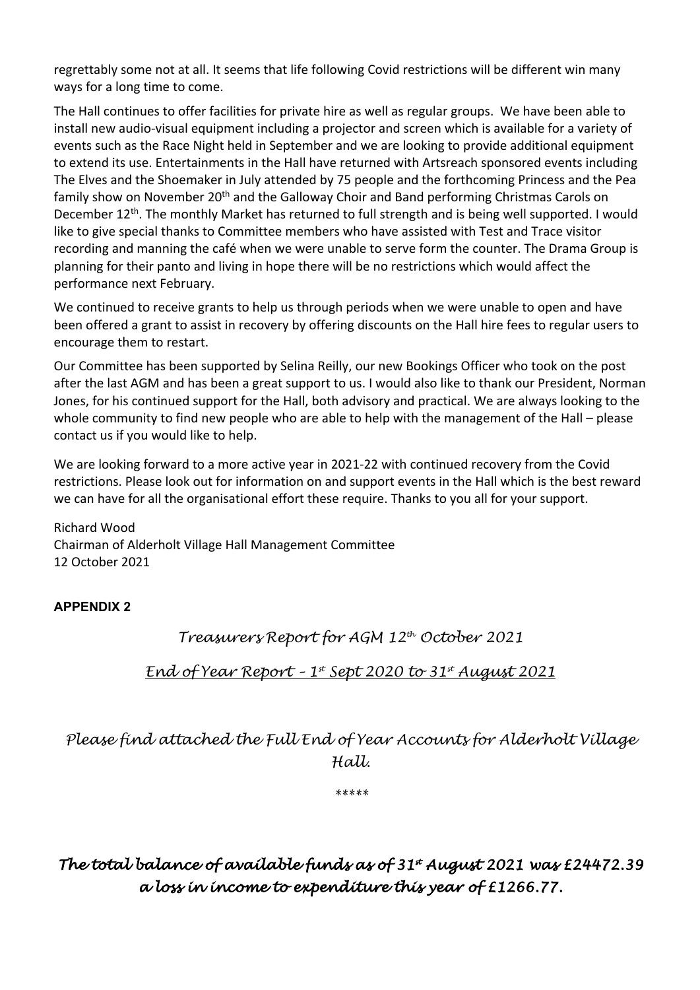regrettably some not at all. It seems that life following Covid restrictions will be different win many ways for a long time to come.

The Hall continues to offer facilities for private hire as well as regular groups. We have been able to install new audio-visual equipment including a projector and screen which is available for a variety of events such as the Race Night held in September and we are looking to provide additional equipment to extend its use. Entertainments in the Hall have returned with Artsreach sponsored events including The Elves and the Shoemaker in July attended by 75 people and the forthcoming Princess and the Pea family show on November 20<sup>th</sup> and the Galloway Choir and Band performing Christmas Carols on December 12<sup>th</sup>. The monthly Market has returned to full strength and is being well supported. I would like to give special thanks to Committee members who have assisted with Test and Trace visitor recording and manning the café when we were unable to serve form the counter. The Drama Group is planning for their panto and living in hope there will be no restrictions which would affect the performance next February.

We continued to receive grants to help us through periods when we were unable to open and have been offered a grant to assist in recovery by offering discounts on the Hall hire fees to regular users to encourage them to restart.

Our Committee has been supported by Selina Reilly, our new Bookings Officer who took on the post after the last AGM and has been a great support to us. I would also like to thank our President, Norman Jones, for his continued support for the Hall, both advisory and practical. We are always looking to the whole community to find new people who are able to help with the management of the Hall – please contact us if you would like to help.

We are looking forward to a more active year in 2021-22 with continued recovery from the Covid restrictions. Please look out for information on and support events in the Hall which is the best reward we can have for all the organisational effort these require. Thanks to you all for your support.

Richard Wood Chairman of Alderholt Village Hall Management Committee 12 October 2021

**APPENDIX 2**

*Treasurers Report for AGM 12th October 2021*

*End of Year Report – 1st Sept 2020 to 31st August 2021*

*Please find attached the Full End of Year Accounts for Alderholt Village Hall.*

*\*\*\*\*\**

The total balance of available funds as of 31<sup>\*</sup> August 2021 was £24472.39 *a loss in income to expenditure this year of £1266.77.*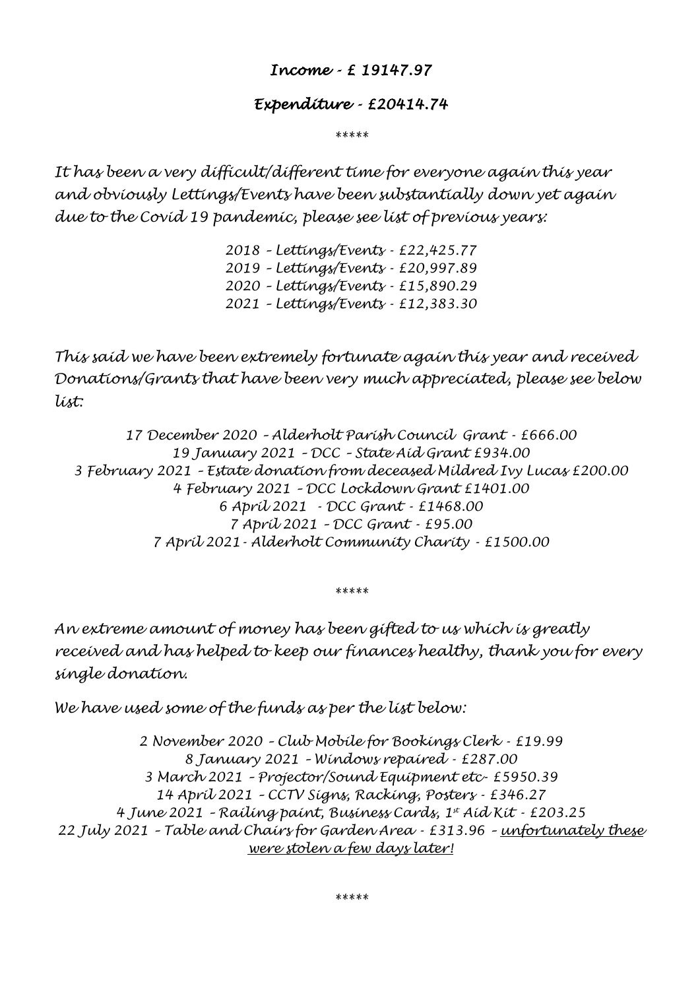# *Income - £ 19147.97*

# *Expenditure - £20414.74*

*\*\*\*\*\**

*It has been a very difficult/different time for everyone again this year and obviously Lettings/Events have been substantially down yet again due to the Covid 19 pandemic, please see list of previous years:* 

> *2018 – Lettings/Events - £22,425.77 2019 – Lettings/Events - £20,997.89 2020 – Lettings/Events - £15,890.29 2021 – Lettings/Events - £12,383.30*

*This said we have been extremely fortunate again this year and received Donations/Grants that have been very much appreciated, please see below list:*

*17 December 2020 – Alderholt Parish Council Grant - £666.00 19 January 2021 – DCC – State Aid Grant £934.00 3 February 2021 – Estate donation from deceased Mildred Ivy Lucas £200.00 4 February 2021 – DCC Lockdown Grant £1401.00 6 April 2021 - DCC Grant - £1468.00 7 April 2021 – DCC Grant - £95.00 7 April 2021- Alderholt Community Charity - £1500.00*

*\*\*\*\*\**

*An extreme amount of money has been gifted to us which is greatly received and has helped to keep our finances healthy, thank you for every single donation.*

*We have used some of the funds as per the list below:*

*2 November 2020 – Club Mobile for Bookings Clerk - £19.99 8 January 2021 – Windows repaired - £287.00 3 March 2021 – Projector/Sound Equipment etc- £5950.39 14 April 2021 – CCTV Signs, Racking, Posters - £346.27 4 June 2021 – Railing paint, Business Cards, 1st Aid Kit - £203.25 22 July 2021 – Table and Chairs for Garden Area - £313.96 – unfortunately these were stolen a few days later!*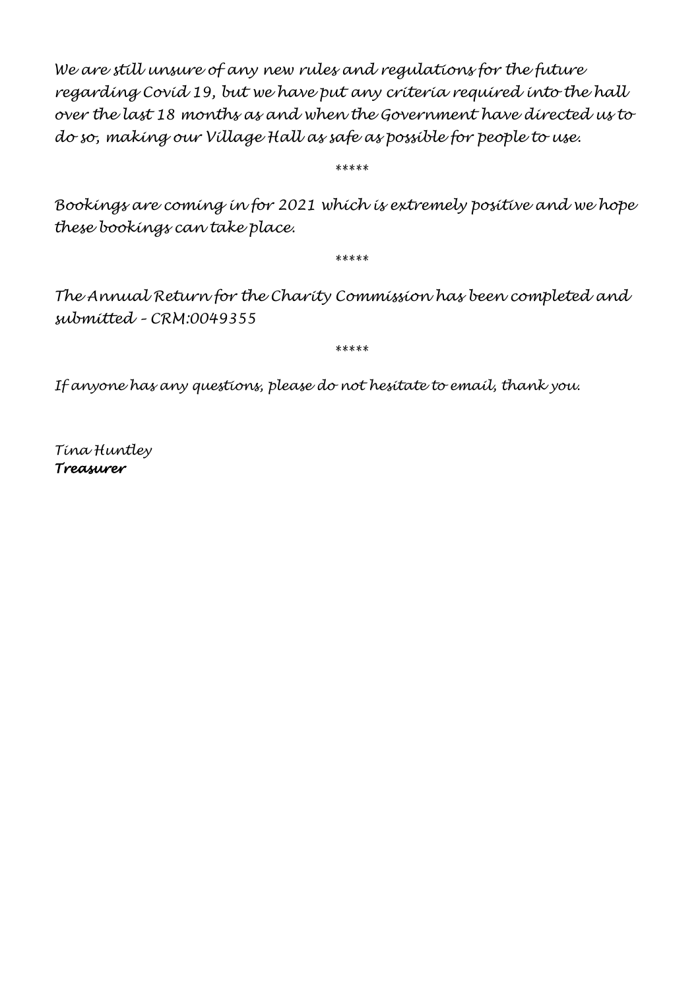*We are still unsure of any new rules and regulations for the future regarding Covid 19, but we have put any criteria required into the hall over the last 18 months as and when the Government have directed us to do so, making our Village Hall as safe as possible for people to use.* 

*\*\*\*\*\**

*Bookings are coming in for 2021 which is extremely positive and we hope these bookings can take place.*

*\*\*\*\*\**

*The Annual Return for the Charity Commission has been completed and submitted – CRM:0049355*

*\*\*\*\*\**

*If anyone has any questions, please do not hesitate to email, thank you.*

*Tina Huntley Treasurer*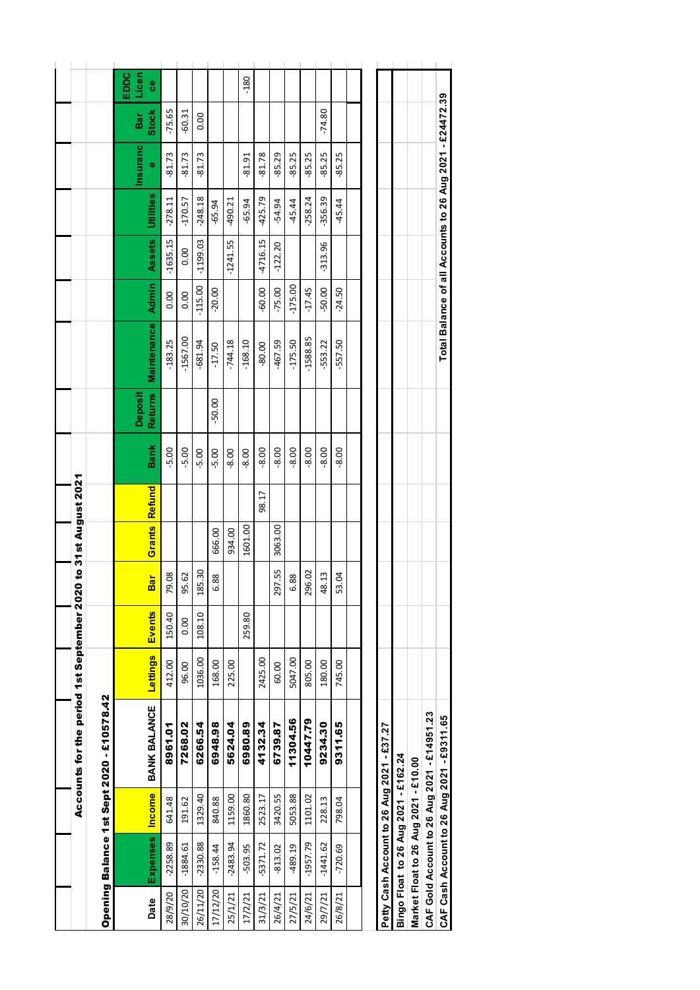|          |                        |                 | Accounts for the period 1st September 2020 to 31st August 2021 |          |        |        |         |                      |         |                                  |                    |                |            |           |               |              |                         |
|----------|------------------------|-----------------|----------------------------------------------------------------|----------|--------|--------|---------|----------------------|---------|----------------------------------|--------------------|----------------|------------|-----------|---------------|--------------|-------------------------|
|          |                        |                 | Opening Balance 1st Sept 2020 - £10578.42                      |          |        |        |         |                      |         |                                  |                    |                |            |           |               |              |                         |
| Date     | <b>Expenses</b>        | ncome           | BANK BALANCE                                                   | Lettings | Events | Bar    |         | <b>Grants</b> Refund | Bank    | <b>Deposit</b><br><b>Returns</b> | <b>Maintenance</b> | <b>Admin</b>   | Assets     | Utilities | Insuranc<br>¢ | Stock<br>Bar | Licen<br>EDDC<br>e<br>0 |
| 28/9/20  | $-2258.89$             | 641.48          | 8961.01                                                        | 412.00   | 150.40 | 79.08  |         |                      | $-5.00$ |                                  | $-183.25$          | $\frac{8}{10}$ | $-1635.15$ | $-278.11$ | $-81.73$      | $-75.65$     |                         |
| 30/10/20 | $-1884.61$             | 191.62          | 7268.02                                                        | 96.00    | 0.00   | 95.62  |         |                      | $-5.00$ |                                  | $-1567.00$         | $\frac{8}{10}$ | 0.00       | $-170.57$ | $-81.73$      | $-60.31$     |                         |
| 26/11/20 | $-2330.88$             | 1329.40         | 6266.54                                                        | 1036.00  | 108.10 | 185.30 |         |                      | $-5.00$ |                                  | $-681.94$          | $-115.00$      | $-1199.03$ | $-248.18$ | $-81.73$      | 0.00         |                         |
| 17/12/20 | $-158.44$              | 840.88          | 6948.98                                                        | 168.00   |        | 6.88   | 666.00  |                      | $-5.00$ | $-50.00$                         | $-17.50$           | $-20.00$       |            | $-65.94$  |               |              |                         |
| 25/1/21  | $-2483.94$             | 1159.00         | 5624.04                                                        | 225.00   |        |        | 934.00  |                      | $-8.00$ |                                  | $-744.18$          |                | $-1241.55$ | $-490.21$ |               |              |                         |
| 17/2/21  | $-503.95$              | 1860.80         | 6980.89                                                        |          | 259.80 |        | 1601.00 |                      | $-8.00$ |                                  | $-168.10$          |                |            | $-65.94$  | $-81.91$      |              | $-180$                  |
| 31/3/21  | $-5371.72$             | 2523.17         | 4132.34                                                        | 2425.00  |        |        |         | 98.17                | $-8.00$ |                                  | $-80.00$           | $-60.00$       | -4716.15   | $-425.79$ | $-81.78$      |              |                         |
| 26/4/21  | $-813.02$              | 3420.55         | 6739.87                                                        | 60.00    |        | 297.55 | 3063.00 |                      | $-8.00$ |                                  | $-467.59$          | g<br>$-75.0$   | $-122.20$  | $-54.94$  | -85.29        |              |                         |
| 27/5/21  | -489.19                | 5053.88         | 11304.56                                                       | 5047.00  |        | 6.88   |         |                      | $-8.00$ |                                  | $-175.50$          | 8<br>$-175.$   |            | -45.44    | -85.25        |              |                         |
| 24/6/21  | $-1957.79$             | 1101.02         | 10447.79                                                       | 805.00   |        | 296.02 |         |                      | $-8.00$ |                                  | $-1588.85$         | ΓÙ,<br>$-17.4$ |            | $-258.24$ | -85.25        |              |                         |
| 29/7/21  | $-1441.62$             | 228.13          | 9234.30                                                        | 180.00   |        | 48.13  |         |                      | $-8.00$ |                                  | $-553.22$          | $-50.00$       | $-313.96$  | $-356.39$ | -85.25        | $-74.80$     |                         |
| 26/8/21  | $-720.69$              | 798.04          | 9311.65                                                        | 745.00   |        | 53.04  |         |                      | $-8.00$ |                                  | $-557.50$          | $-24.50$       |            | $-45.44$  | -85.25        |              |                         |
|          |                        |                 |                                                                |          |        |        |         |                      |         |                                  |                    |                |            |           |               |              |                         |
|          |                        |                 |                                                                |          |        |        |         |                      |         |                                  |                    |                |            |           |               |              |                         |
|          |                        |                 | Petty Cash Account to 26 Aug 2021 - £37.27                     |          |        |        |         |                      |         |                                  |                    |                |            |           |               |              |                         |
|          | Bingo Float to 26 Aug  |                 | 2021 - £162.24                                                 |          |        |        |         |                      |         |                                  |                    |                |            |           |               |              |                         |
|          | Market Float to 26 Aug | $2021 - £10.00$ |                                                                |          |        |        |         |                      |         |                                  |                    |                |            |           |               |              |                         |

**CAF Gold Account to 26 Aug 2021 - £14951.23**

CAF Gold Account to 26 Aug 2021 - £14951.23<br>CAF Cash Account to 26 Aug 2021 - £9311.65

**CAF Cash Account to 26 Aug 2021 - £9311.65 Total Balance of all Accounts to 26 Aug 2021 - £24472.39** 

Total Balance of all Accounts to 26 Aug 2021 - £24472.39